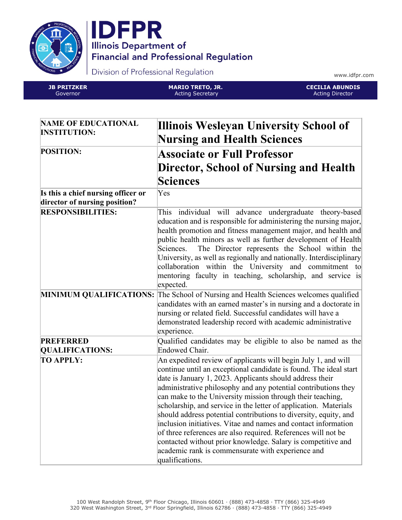



Division of Professional Regulation

www.idfpr.com

**JB PRITZKER** Governor

**MARIO TRETO, JR.** Acting Secretary

**CECILIA ABUNDIS** Acting Director

| <b>NAME OF EDUCATIONAL</b><br><b>INSTITUTION:</b>                   | Illinois Wesleyan University School of<br><b>Nursing and Health Sciences</b>                                                                                                                                                                                                                                                                                                                                                                                                                                                                                                                                                                                                                                                                      |
|---------------------------------------------------------------------|---------------------------------------------------------------------------------------------------------------------------------------------------------------------------------------------------------------------------------------------------------------------------------------------------------------------------------------------------------------------------------------------------------------------------------------------------------------------------------------------------------------------------------------------------------------------------------------------------------------------------------------------------------------------------------------------------------------------------------------------------|
| <b>POSITION:</b>                                                    | <b>Associate or Full Professor</b><br>Director, School of Nursing and Health                                                                                                                                                                                                                                                                                                                                                                                                                                                                                                                                                                                                                                                                      |
|                                                                     | <b>Sciences</b>                                                                                                                                                                                                                                                                                                                                                                                                                                                                                                                                                                                                                                                                                                                                   |
| Is this a chief nursing officer or<br>director of nursing position? | Yes                                                                                                                                                                                                                                                                                                                                                                                                                                                                                                                                                                                                                                                                                                                                               |
| <b>RESPONSIBILITIES:</b>                                            | This individual will advance undergraduate theory-based<br>education and is responsible for administering the nursing major,<br>health promotion and fitness management major, and health and<br>public health minors as well as further development of Health<br>The Director represents the School within the<br>Sciences.<br>University, as well as regionally and nationally. Interdisciplinary<br>collaboration within the University and commitment to<br>mentoring faculty in teaching, scholarship, and service is<br>expected.                                                                                                                                                                                                           |
|                                                                     | MINIMUM QUALIFICATIONS: The School of Nursing and Health Sciences welcomes qualified<br>candidates with an earned master's in nursing and a doctorate in<br>nursing or related field. Successful candidates will have a<br>demonstrated leadership record with academic administrative<br>experience.                                                                                                                                                                                                                                                                                                                                                                                                                                             |
| <b>PREFERRED</b><br><b>QUALIFICATIONS:</b>                          | Qualified candidates may be eligible to also be named as the<br>Endowed Chair.                                                                                                                                                                                                                                                                                                                                                                                                                                                                                                                                                                                                                                                                    |
| <b>TO APPLY:</b>                                                    | An expedited review of applicants will begin July 1, and will<br>continue until an exceptional candidate is found. The ideal start<br>date is January 1, 2023. Applicants should address their<br>administrative philosophy and any potential contributions they<br>can make to the University mission through their teaching,<br>scholarship, and service in the letter of application. Materials<br>should address potential contributions to diversity, equity, and<br>inclusion initiatives. Vitae and names and contact information<br>of three references are also required. References will not be<br>contacted without prior knowledge. Salary is competitive and<br>academic rank is commensurate with experience and<br>qualifications. |